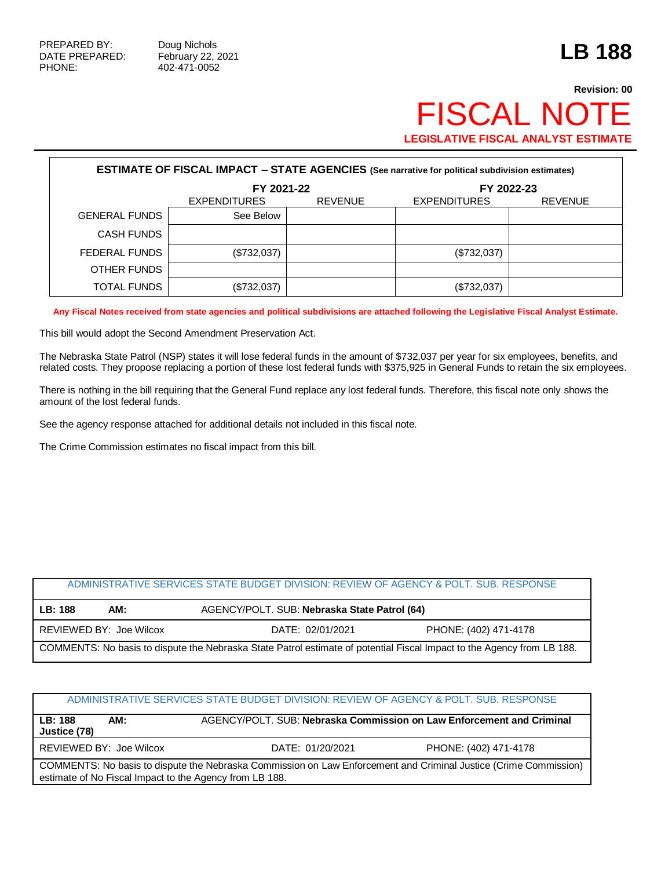## **Revision: 00** FISCAL NOTE **LEGISLATIVE FISCAL ANALYST ESTIMATE**

| <b>ESTIMATE OF FISCAL IMPACT - STATE AGENCIES</b> (See narrative for political subdivision estimates) |                     |                |                     |                |  |  |  |
|-------------------------------------------------------------------------------------------------------|---------------------|----------------|---------------------|----------------|--|--|--|
|                                                                                                       | FY 2021-22          |                | FY 2022-23          |                |  |  |  |
|                                                                                                       | <b>EXPENDITURES</b> | <b>REVENUE</b> | <b>EXPENDITURES</b> | <b>REVENUE</b> |  |  |  |
| <b>GENERAL FUNDS</b>                                                                                  | See Below           |                |                     |                |  |  |  |
| <b>CASH FUNDS</b>                                                                                     |                     |                |                     |                |  |  |  |
| FEDERAL FUNDS                                                                                         | (\$732,037)         |                | (\$732,037)         |                |  |  |  |
| OTHER FUNDS                                                                                           |                     |                |                     |                |  |  |  |
| <b>TOTAL FUNDS</b>                                                                                    | (\$732,037)         |                | (\$732,037)         |                |  |  |  |

**Any Fiscal Notes received from state agencies and political subdivisions are attached following the Legislative Fiscal Analyst Estimate.**

This bill would adopt the Second Amendment Preservation Act.

The Nebraska State Patrol (NSP) states it will lose federal funds in the amount of \$732,037 per year for six employees, benefits, and related costs. They propose replacing a portion of these lost federal funds with \$375,925 in General Funds to retain the six employees.

There is nothing in the bill requiring that the General Fund replace any lost federal funds. Therefore, this fiscal note only shows the amount of the lost federal funds.

See the agency response attached for additional details not included in this fiscal note.

The Crime Commission estimates no fiscal impact from this bill.

## ADMINISTRATIVE SERVICES STATE BUDGET DIVISION: REVIEW OF AGENCY & POLT. SUB. RESPONSE

| LB: 188                                                                                                                | AM: | AGENCY/POLT. SUB: Nebraska State Patrol (64) |                       |  |  |  |
|------------------------------------------------------------------------------------------------------------------------|-----|----------------------------------------------|-----------------------|--|--|--|
| REVIEWED BY: Joe Wilcox                                                                                                |     | DATE: 02/01/2021                             | PHONE: (402) 471-4178 |  |  |  |
| COMMENTS: No basis to dispute the Nebraska State Patrol estimate of potential Fiscal Impact to the Agency from LB 188. |     |                                              |                       |  |  |  |

|                                                                                                                                                                             | ADMINISTRATIVE SERVICES STATE BUDGET DIVISION: REVIEW OF AGENCY & POLT. SUB. RESPONSE |                       |  |  |  |
|-----------------------------------------------------------------------------------------------------------------------------------------------------------------------------|---------------------------------------------------------------------------------------|-----------------------|--|--|--|
| LB: 188<br>AM:<br>Justice (78)                                                                                                                                              | AGENCY/POLT, SUB: Nebraska Commission on Law Enforcement and Criminal                 |                       |  |  |  |
| REVIEWED BY: Joe Wilcox                                                                                                                                                     | DATE: 01/20/2021                                                                      | PHONE: (402) 471-4178 |  |  |  |
| COMMENTS: No basis to dispute the Nebraska Commission on Law Enforcement and Criminal Justice (Crime Commission)<br>estimate of No Fiscal Impact to the Agency from LB 188. |                                                                                       |                       |  |  |  |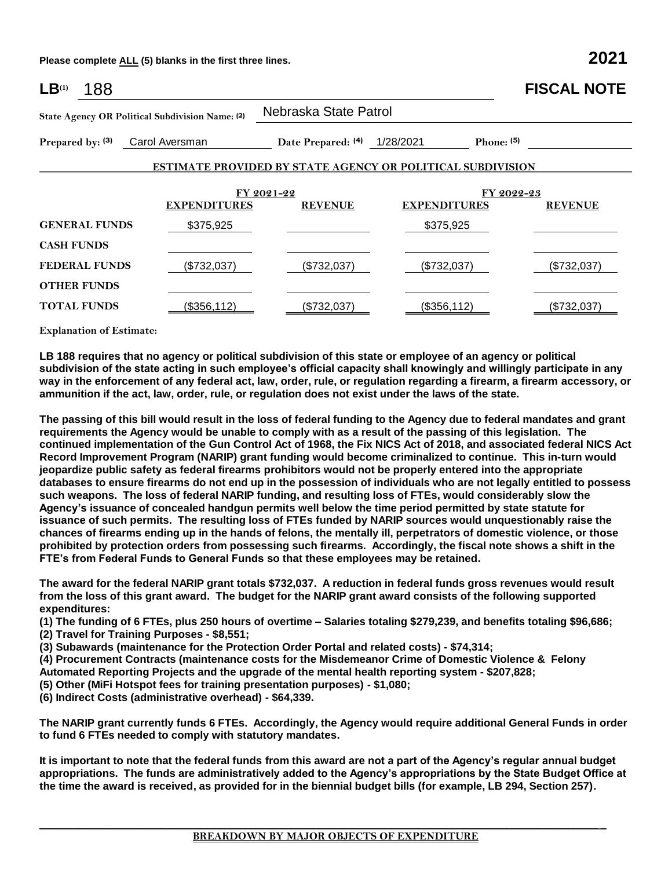**Please complete ALL (5) blanks in the first three lines. 2021**

| LB <sup>(1)</sup><br>188                        |  |                                 |                     |                                                                   |                     |            | <b>FISCAL NOTE</b> |
|-------------------------------------------------|--|---------------------------------|---------------------|-------------------------------------------------------------------|---------------------|------------|--------------------|
| State Agency OR Political Subdivision Name: (2) |  |                                 |                     | Nebraska State Patrol                                             |                     |            |                    |
| Prepared by: (3)<br>Carol Aversman              |  | 1/28/2021<br>Date Prepared: (4) |                     | Phone: (5)                                                        |                     |            |                    |
|                                                 |  |                                 |                     | <b>ESTIMATE PROVIDED BY STATE AGENCY OR POLITICAL SUBDIVISION</b> |                     |            |                    |
|                                                 |  |                                 |                     | FY 2021-22                                                        |                     | FY 2022-23 |                    |
|                                                 |  |                                 | <b>EXPENDITURES</b> | <b>REVENUE</b>                                                    | <b>EXPENDITURES</b> |            | <b>REVENUE</b>     |
| <b>GENERAL FUNDS</b>                            |  |                                 | \$375,925           |                                                                   | \$375,925           |            |                    |
| <b>CASH FUNDS</b>                               |  |                                 |                     |                                                                   |                     |            |                    |
| <b>FEDERAL FUNDS</b>                            |  |                                 | (\$732,037)         | (\$732,037)                                                       | (\$732,037)         |            | (\$732,037)        |
| <b>OTHER FUNDS</b>                              |  |                                 |                     |                                                                   |                     |            |                    |
| <b>TOTAL FUNDS</b>                              |  |                                 | (\$356,112)         | (\$732,037)                                                       | (\$356,112)         |            | (\$732,037)        |

**Explanation of Estimate:**

**LB 188 requires that no agency or political subdivision of this state or employee of an agency or political subdivision of the state acting in such employee's official capacity shall knowingly and willingly participate in any way in the enforcement of any federal act, law, order, rule, or regulation regarding a firearm, a firearm accessory, or ammunition if the act, law, order, rule, or regulation does not exist under the laws of the state.** 

**The passing of this bill would result in the loss of federal funding to the Agency due to federal mandates and grant requirements the Agency would be unable to comply with as a result of the passing of this legislation. The continued implementation of the Gun Control Act of 1968, the Fix NICS Act of 2018, and associated federal NICS Act Record Improvement Program (NARIP) grant funding would become criminalized to continue. This in-turn would jeopardize public safety as federal firearms prohibitors would not be properly entered into the appropriate databases to ensure firearms do not end up in the possession of individuals who are not legally entitled to possess such weapons. The loss of federal NARIP funding, and resulting loss of FTEs, would considerably slow the Agency's issuance of concealed handgun permits well below the time period permitted by state statute for issuance of such permits. The resulting loss of FTEs funded by NARIP sources would unquestionably raise the chances of firearms ending up in the hands of felons, the mentally ill, perpetrators of domestic violence, or those prohibited by protection orders from possessing such firearms. Accordingly, the fiscal note shows a shift in the FTE's from Federal Funds to General Funds so that these employees may be retained.**

**The award for the federal NARIP grant totals \$732,037. A reduction in federal funds gross revenues would result from the loss of this grant award. The budget for the NARIP grant award consists of the following supported expenditures:**

**(1) The funding of 6 FTEs, plus 250 hours of overtime – Salaries totaling \$279,239, and benefits totaling \$96,686;**

**(2) Travel for Training Purposes - \$8,551;**

**(3) Subawards (maintenance for the Protection Order Portal and related costs) - \$74,314;**

**(4) Procurement Contracts (maintenance costs for the Misdemeanor Crime of Domestic Violence & Felony** 

**Automated Reporting Projects and the upgrade of the mental health reporting system - \$207,828;**

**(5) Other (MiFi Hotspot fees for training presentation purposes) - \$1,080;**

**(6) Indirect Costs (administrative overhead) - \$64,339.**

**The NARIP grant currently funds 6 FTEs. Accordingly, the Agency would require additional General Funds in order to fund 6 FTEs needed to comply with statutory mandates.** 

**It is important to note that the federal funds from this award are not a part of the Agency's regular annual budget appropriations. The funds are administratively added to the Agency's appropriations by the State Budget Office at the time the award is received, as provided for in the biennial budget bills (for example, LB 294, Section 257).**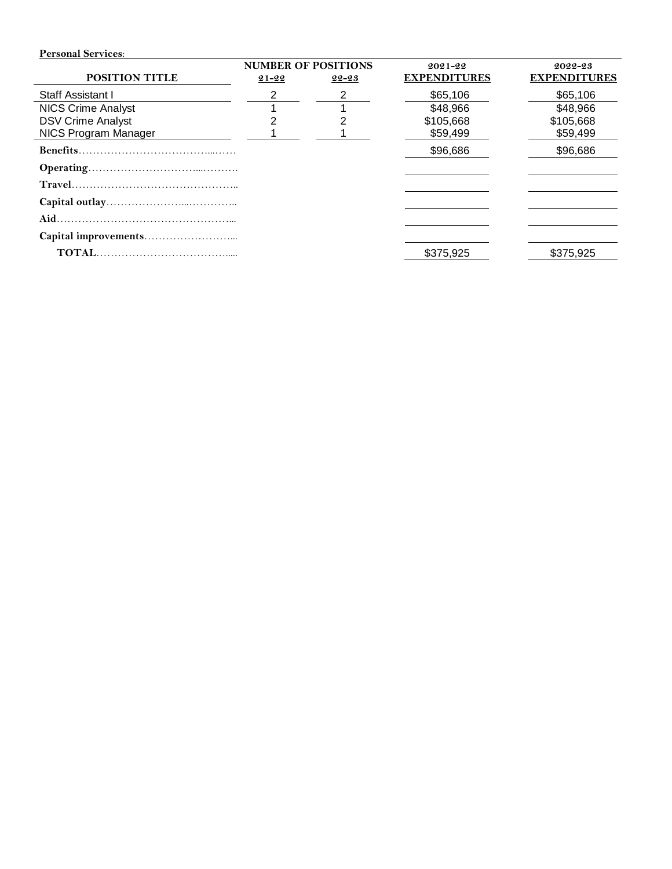| <b>Personal Services:</b> |                            |       |                     |                     |  |
|---------------------------|----------------------------|-------|---------------------|---------------------|--|
|                           | <b>NUMBER OF POSITIONS</b> |       | 2021-22             | 2022-23             |  |
| POSITION TITLE            | $21 - 22$                  | 22-23 | <b>EXPENDITURES</b> | <b>EXPENDITURES</b> |  |
| Staff Assistant I         |                            |       | \$65,106            | \$65,106            |  |
| <b>NICS Crime Analyst</b> |                            |       | \$48,966            | \$48,966            |  |
| <b>DSV Crime Analyst</b>  |                            |       | \$105,668           | \$105,668           |  |
| NICS Program Manager      |                            |       | \$59,499            | \$59,499            |  |
| <b>Benefits</b>           |                            |       | \$96,686            | \$96,686            |  |
|                           |                            |       |                     |                     |  |
|                           |                            |       |                     |                     |  |
|                           |                            |       |                     |                     |  |
| Aid.                      |                            |       |                     |                     |  |
|                           |                            |       |                     |                     |  |
|                           |                            |       | \$375.925           | \$375,925           |  |